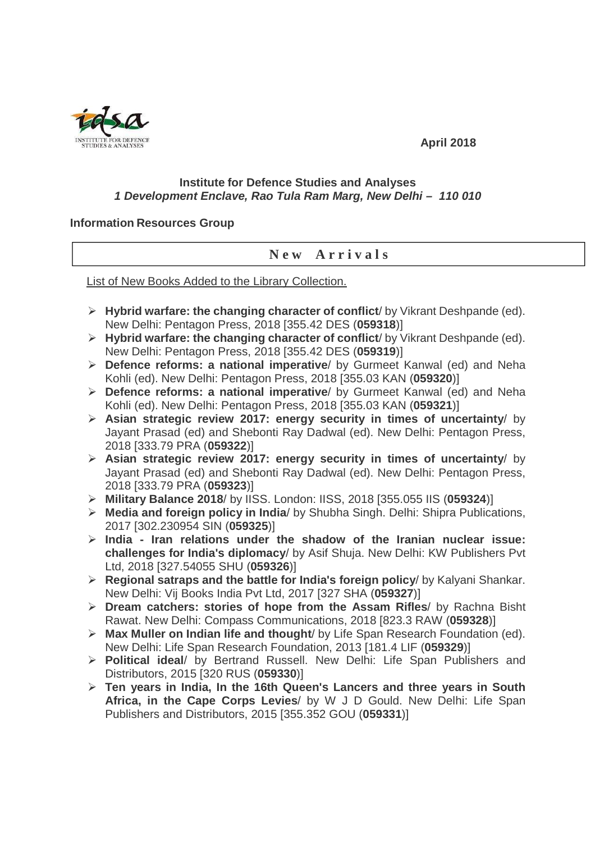

## **April 2018**

## **Institute for Defence Studies and Analyses 1 Development Enclave, Rao Tula Ram Marg, New Delhi – 110 010**

## **Information Resources Group**

## **N e w A r r i v a l s**

List of New Books Added to the Library Collection.

- **Hybrid warfare: the changing character of conflict**/ by Vikrant Deshpande (ed). New Delhi: Pentagon Press, 2018 [355.42 DES (**059318**)]
- **Hybrid warfare: the changing character of conflict**/ by Vikrant Deshpande (ed). New Delhi: Pentagon Press, 2018 [355.42 DES (**059319**)]
- **Defence reforms: a national imperative**/ by Gurmeet Kanwal (ed) and Neha Kohli (ed). New Delhi: Pentagon Press, 2018 [355.03 KAN (**059320**)]
- **Defence reforms: a national imperative**/ by Gurmeet Kanwal (ed) and Neha Kohli (ed). New Delhi: Pentagon Press, 2018 [355.03 KAN (**059321**)]
- **Asian strategic review 2017: energy security in times of uncertainty**/ by Jayant Prasad (ed) and Shebonti Ray Dadwal (ed). New Delhi: Pentagon Press, 2018 [333.79 PRA (**059322**)]
- **Asian strategic review 2017: energy security in times of uncertainty**/ by Jayant Prasad (ed) and Shebonti Ray Dadwal (ed). New Delhi: Pentagon Press, 2018 [333.79 PRA (**059323**)]
- **Military Balance 2018**/ by IISS. London: IISS, 2018 [355.055 IIS (**059324**)]
- **Media and foreign policy in India**/ by Shubha Singh. Delhi: Shipra Publications, 2017 [302.230954 SIN (**059325**)]
- **India Iran relations under the shadow of the Iranian nuclear issue: challenges for India's diplomacy**/ by Asif Shuja. New Delhi: KW Publishers Pvt Ltd, 2018 [327.54055 SHU (**059326**)]
- **Regional satraps and the battle for India's foreign policy**/ by Kalyani Shankar. New Delhi: Vij Books India Pvt Ltd, 2017 [327 SHA (**059327**)]
- **Dream catchers: stories of hope from the Assam Rifles**/ by Rachna Bisht Rawat. New Delhi: Compass Communications, 2018 [823.3 RAW (**059328**)]
- **Max Muller on Indian life and thought**/ by Life Span Research Foundation (ed). New Delhi: Life Span Research Foundation, 2013 [181.4 LIF (**059329**)]
- **Political ideal**/ by Bertrand Russell. New Delhi: Life Span Publishers and Distributors, 2015 [320 RUS (**059330**)]
- **Ten years in India, In the 16th Queen's Lancers and three years in South Africa, in the Cape Corps Levies**/ by W J D Gould. New Delhi: Life Span Publishers and Distributors, 2015 [355.352 GOU (**059331**)]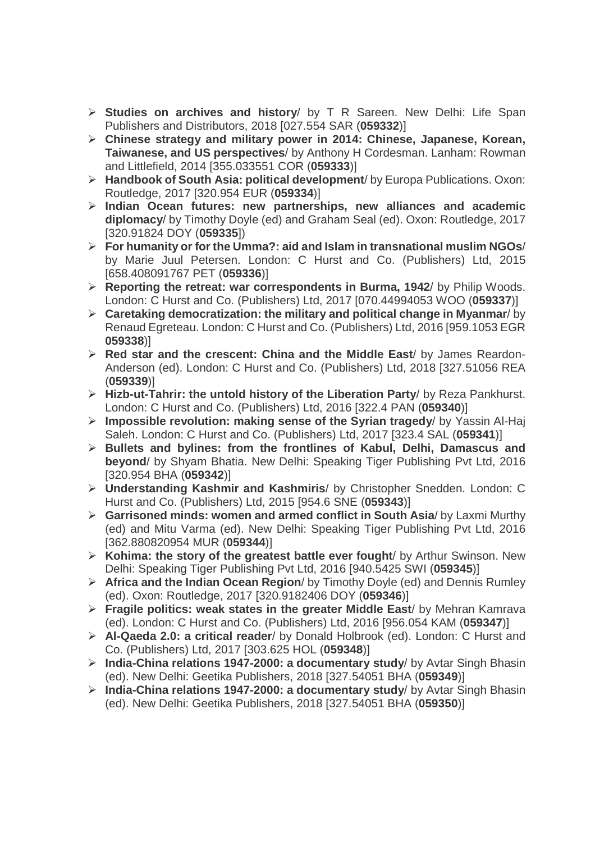- **Studies on archives and history**/ by T R Sareen. New Delhi: Life Span Publishers and Distributors, 2018 [027.554 SAR (**059332**)]
- **Chinese strategy and military power in 2014: Chinese, Japanese, Korean, Taiwanese, and US perspectives**/ by Anthony H Cordesman. Lanham: Rowman and Littlefield, 2014 [355.033551 COR (**059333**)]
- **Handbook of South Asia: political development**/ by Europa Publications. Oxon: Routledge, 2017 [320.954 EUR (**059334**)]
- **Indian Ocean futures: new partnerships, new alliances and academic diplomacy**/ by Timothy Doyle (ed) and Graham Seal (ed). Oxon: Routledge, 2017 [320.91824 DOY (**059335**])
- **For humanity or for the Umma?: aid and Islam in transnational muslim NGOs**/ by Marie Juul Petersen. London: C Hurst and Co. (Publishers) Ltd, 2015 [658.408091767 PET (**059336**)]
- **Reporting the retreat: war correspondents in Burma, 1942**/ by Philip Woods. London: C Hurst and Co. (Publishers) Ltd, 2017 [070.44994053 WOO (**059337**)]
- **Caretaking democratization: the military and political change in Myanmar**/ by Renaud Egreteau. London: C Hurst and Co. (Publishers) Ltd, 2016 [959.1053 EGR **059338**)]
- **Red star and the crescent: China and the Middle East**/ by James Reardon-Anderson (ed). London: C Hurst and Co. (Publishers) Ltd, 2018 [327.51056 REA (**059339**)]
- **Hizb-ut-Tahrir: the untold history of the Liberation Party**/ by Reza Pankhurst. London: C Hurst and Co. (Publishers) Ltd, 2016 [322.4 PAN (**059340**)]
- **Impossible revolution: making sense of the Syrian tragedy**/ by Yassin Al-Haj Saleh. London: C Hurst and Co. (Publishers) Ltd, 2017 [323.4 SAL (**059341**)]
- **Bullets and bylines: from the frontlines of Kabul, Delhi, Damascus and beyond**/ by Shyam Bhatia. New Delhi: Speaking Tiger Publishing Pvt Ltd, 2016 [320.954 BHA (**059342**)]
- **Understanding Kashmir and Kashmiris**/ by Christopher Snedden. London: C Hurst and Co. (Publishers) Ltd, 2015 [954.6 SNE (**059343**)]
- **Garrisoned minds: women and armed conflict in South Asia**/ by Laxmi Murthy (ed) and Mitu Varma (ed). New Delhi: Speaking Tiger Publishing Pvt Ltd, 2016 [362.880820954 MUR (**059344**)]
- **Kohima: the story of the greatest battle ever fought**/ by Arthur Swinson. New Delhi: Speaking Tiger Publishing Pvt Ltd, 2016 [940.5425 SWI (**059345**)]
- **Africa and the Indian Ocean Region**/ by Timothy Doyle (ed) and Dennis Rumley (ed). Oxon: Routledge, 2017 [320.9182406 DOY (**059346**)]
- **Fragile politics: weak states in the greater Middle East**/ by Mehran Kamrava (ed). London: C Hurst and Co. (Publishers) Ltd, 2016 [956.054 KAM (**059347**)]
- **Al-Qaeda 2.0: a critical reader**/ by Donald Holbrook (ed). London: C Hurst and Co. (Publishers) Ltd, 2017 [303.625 HOL (**059348**)]
- **India-China relations 1947-2000: a documentary study**/ by Avtar Singh Bhasin (ed). New Delhi: Geetika Publishers, 2018 [327.54051 BHA (**059349**)]
- **India-China relations 1947-2000: a documentary study**/ by Avtar Singh Bhasin (ed). New Delhi: Geetika Publishers, 2018 [327.54051 BHA (**059350**)]